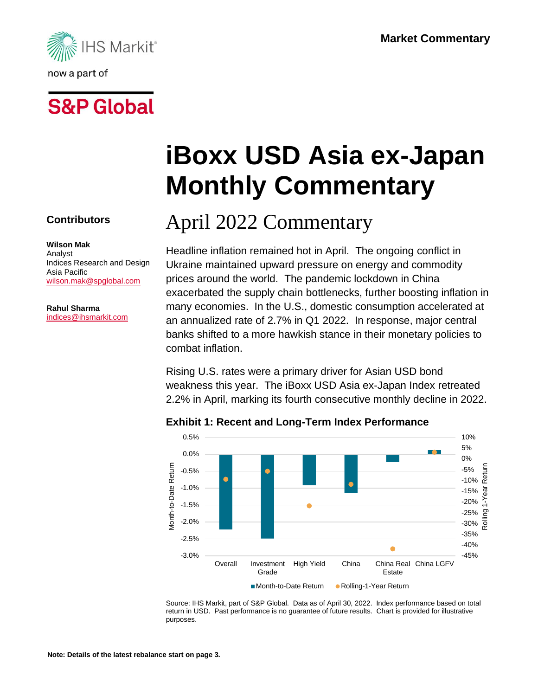

# **S&P Global**

**Contributors**

**Wilson Mak** Analyst Indices Research and Design Asia Pacific [wilson.mak@spglobal.com](mailto:wilson.mak@spglobal.com)

**Rahul Sharma** [indices@ihsmarkit.com](mailto:indices@ihsmarkit.com)

# **iBoxx USD Asia ex-Japan Monthly Commentary**

## April 2022 Commentary

Headline inflation remained hot in April. The ongoing conflict in Ukraine maintained upward pressure on energy and commodity prices around the world. The pandemic lockdown in China exacerbated the supply chain bottlenecks, further boosting inflation in many economies. In the U.S., domestic consumption accelerated at an annualized rate of 2.7% in Q1 2022. In response, major central banks shifted to a more hawkish stance in their monetary policies to combat inflation.

Rising U.S. rates were a primary driver for Asian USD bond weakness this year. The iBoxx USD Asia ex-Japan Index retreated 2.2% in April, marking its fourth consecutive monthly decline in 2022.



#### **Exhibit 1: Recent and Long-Term Index Performance**

Source: IHS Markit, part of S&P Global. Data as of April 30, 2022. Index performance based on total return in USD. Past performance is no guarantee of future results. Chart is provided for illustrative purposes.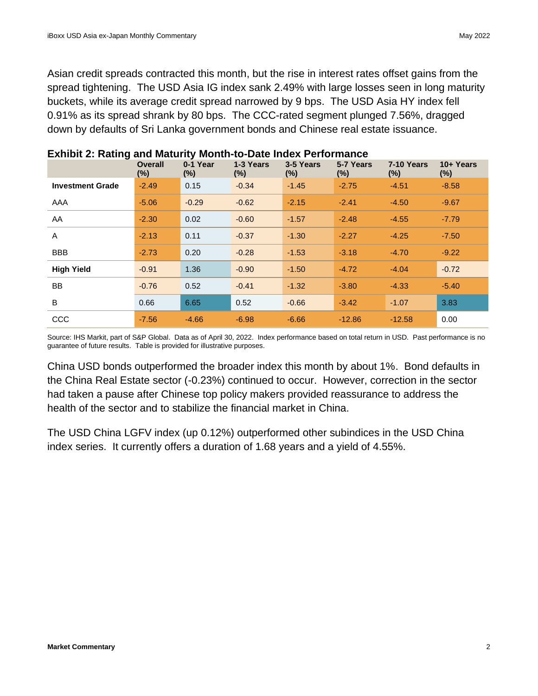Asian credit spreads contracted this month, but the rise in interest rates offset gains from the spread tightening. The USD Asia IG index sank 2.49% with large losses seen in long maturity buckets, while its average credit spread narrowed by 9 bps. The USD Asia HY index fell 0.91% as its spread shrank by 80 bps. The CCC-rated segment plunged 7.56%, dragged down by defaults of Sri Lanka government bonds and Chinese real estate issuance.

|                         | <b>Overall</b><br>(%) | 0-1 Year<br>$(\%)$ | 1-3 Years<br>$(\%)$ | 3-5 Years<br>$(\%)$ | 5-7 Years<br>$(\%)$ | 7-10 Years<br>$(\% )$ | 10+ Years<br>$(\%)$ |
|-------------------------|-----------------------|--------------------|---------------------|---------------------|---------------------|-----------------------|---------------------|
| <b>Investment Grade</b> | $-2.49$               | 0.15               | $-0.34$             | $-1.45$             | $-2.75$             | $-4.51$               | $-8.58$             |
| AAA                     | $-5.06$               | $-0.29$            | $-0.62$             | $-2.15$             | $-2.41$             | $-4.50$               | $-9.67$             |
| AA                      | $-2.30$               | 0.02               | $-0.60$             | $-1.57$             | $-2.48$             | $-4.55$               | $-7.79$             |
| A                       | $-2.13$               | 0.11               | $-0.37$             | $-1.30$             | $-2.27$             | $-4.25$               | $-7.50$             |
| <b>BBB</b>              | $-2.73$               | 0.20               | $-0.28$             | $-1.53$             | $-3.18$             | $-4.70$               | $-9.22$             |
| <b>High Yield</b>       | $-0.91$               | 1.36               | $-0.90$             | $-1.50$             | $-4.72$             | $-4.04$               | $-0.72$             |
| <b>BB</b>               | $-0.76$               | 0.52               | $-0.41$             | $-1.32$             | $-3.80$             | $-4.33$               | $-5.40$             |
| B                       | 0.66                  | 6.65               | 0.52                | $-0.66$             | $-3.42$             | $-1.07$               | 3.83                |
| CCC                     | $-7.56$               | $-4.66$            | $-6.98$             | $-6.66$             | $-12.86$            | $-12.58$              | 0.00                |

#### **Exhibit 2: Rating and Maturity Month-to-Date Index Performance**

Source: IHS Markit, part of S&P Global. Data as of April 30, 2022. Index performance based on total return in USD. Past performance is no guarantee of future results. Table is provided for illustrative purposes.

China USD bonds outperformed the broader index this month by about 1%. Bond defaults in the China Real Estate sector (-0.23%) continued to occur. However, correction in the sector had taken a pause after Chinese top policy makers provided reassurance to address the health of the sector and to stabilize the financial market in China.

The USD China LGFV index (up 0.12%) outperformed other subindices in the USD China index series. It currently offers a duration of 1.68 years and a yield of 4.55%.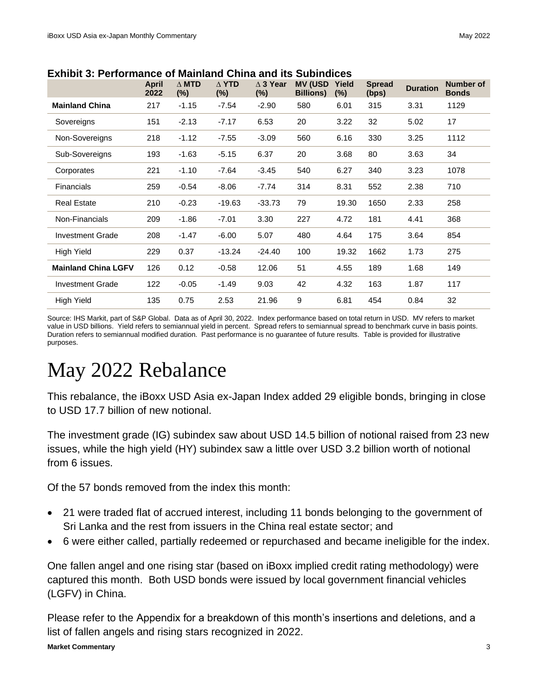|                            | <b>April</b><br>2022 | $\triangle$ MTD<br>$(\%)$ | $\triangle$ YTD<br>$(\%)$ | $\triangle$ 3 Year<br>$(\%)$ | <b>MV (USD</b><br><b>Billions)</b> | Yield<br>(%) | <b>Spread</b><br>(bps) | <b>Duration</b> | <b>Number of</b><br><b>Bonds</b> |
|----------------------------|----------------------|---------------------------|---------------------------|------------------------------|------------------------------------|--------------|------------------------|-----------------|----------------------------------|
| <b>Mainland China</b>      | 217                  | $-1.15$                   | $-7.54$                   | $-2.90$                      | 580                                | 6.01         | 315                    | 3.31            | 1129                             |
| Sovereigns                 | 151                  | $-2.13$                   | $-7.17$                   | 6.53                         | 20                                 | 3.22         | 32                     | 5.02            | 17                               |
| Non-Sovereigns             | 218                  | $-1.12$                   | $-7.55$                   | $-3.09$                      | 560                                | 6.16         | 330                    | 3.25            | 1112                             |
| Sub-Sovereigns             | 193                  | $-1.63$                   | $-5.15$                   | 6.37                         | 20                                 | 3.68         | 80                     | 3.63            | 34                               |
| Corporates                 | 221                  | $-1.10$                   | $-7.64$                   | $-3.45$                      | 540                                | 6.27         | 340                    | 3.23            | 1078                             |
| Financials                 | 259                  | $-0.54$                   | $-8.06$                   | $-7.74$                      | 314                                | 8.31         | 552                    | 2.38            | 710                              |
| <b>Real Estate</b>         | 210                  | $-0.23$                   | $-19.63$                  | $-33.73$                     | 79                                 | 19.30        | 1650                   | 2.33            | 258                              |
| Non-Financials             | 209                  | $-1.86$                   | $-7.01$                   | 3.30                         | 227                                | 4.72         | 181                    | 4.41            | 368                              |
| <b>Investment Grade</b>    | 208                  | $-1.47$                   | $-6.00$                   | 5.07                         | 480                                | 4.64         | 175                    | 3.64            | 854                              |
| High Yield                 | 229                  | 0.37                      | $-13.24$                  | $-24.40$                     | 100                                | 19.32        | 1662                   | 1.73            | 275                              |
| <b>Mainland China LGFV</b> | 126                  | 0.12                      | $-0.58$                   | 12.06                        | 51                                 | 4.55         | 189                    | 1.68            | 149                              |
| <b>Investment Grade</b>    | 122                  | $-0.05$                   | $-1.49$                   | 9.03                         | 42                                 | 4.32         | 163                    | 1.87            | 117                              |
| <b>High Yield</b>          | 135                  | 0.75                      | 2.53                      | 21.96                        | 9                                  | 6.81         | 454                    | 0.84            | 32                               |

**Exhibit 3: Performance of Mainland China and its Subindices** 

Source: IHS Markit, part of S&P Global. Data as of April 30, 2022. Index performance based on total return in USD. MV refers to market value in USD billions. Yield refers to semiannual yield in percent. Spread refers to semiannual spread to benchmark curve in basis points. Duration refers to semiannual modified duration. Past performance is no guarantee of future results. Table is provided for illustrative purposes.

### May 2022 Rebalance

This rebalance, the iBoxx USD Asia ex-Japan Index added 29 eligible bonds, bringing in close to USD 17.7 billion of new notional.

The investment grade (IG) subindex saw about USD 14.5 billion of notional raised from 23 new issues, while the high yield (HY) subindex saw a little over USD 3.2 billion worth of notional from 6 issues.

Of the 57 bonds removed from the index this month:

- 21 were traded flat of accrued interest, including 11 bonds belonging to the government of Sri Lanka and the rest from issuers in the China real estate sector; and
- 6 were either called, partially redeemed or repurchased and became ineligible for the index.

One fallen angel and one rising star (based on iBoxx implied credit rating methodology) were captured this month. Both USD bonds were issued by local government financial vehicles (LGFV) in China.

**Market Commentary** 3 Please refer to the Appendix for a breakdown of this month's insertions and deletions, and a list of fallen angels and rising stars recognized in 2022.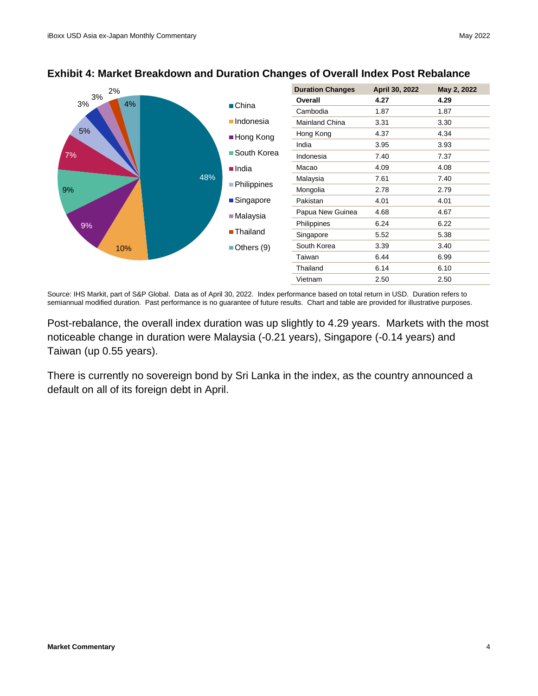

#### **Exhibit 4: Market Breakdown and Duration Changes of Overall Index Post Rebalance**

Source: IHS Markit, part of S&P Global. Data as of April 30, 2022. Index performance based on total return in USD. Duration refers to semiannual modified duration. Past performance is no guarantee of future results. Chart and table are provided for illustrative purposes.

Post-rebalance, the overall index duration was up slightly to 4.29 years. Markets with the most noticeable change in duration were Malaysia (-0.21 years), Singapore (-0.14 years) and Taiwan (up 0.55 years).

There is currently no sovereign bond by Sri Lanka in the index, as the country announced a default on all of its foreign debt in April.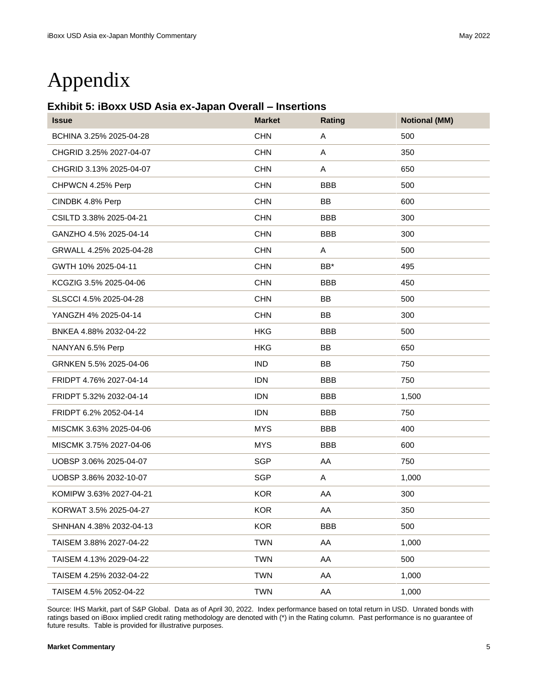### Appendix

#### **Exhibit 5: iBoxx USD Asia ex-Japan Overall – Insertions**

| <b>Issue</b>            | <b>Market</b> | Rating     | <b>Notional (MM)</b> |
|-------------------------|---------------|------------|----------------------|
| BCHINA 3.25% 2025-04-28 | <b>CHN</b>    | A          | 500                  |
| CHGRID 3.25% 2027-04-07 | <b>CHN</b>    | A          | 350                  |
| CHGRID 3.13% 2025-04-07 | <b>CHN</b>    | A          | 650                  |
| CHPWCN 4.25% Perp       | <b>CHN</b>    | <b>BBB</b> | 500                  |
| CINDBK 4.8% Perp        | <b>CHN</b>    | BB         | 600                  |
| CSILTD 3.38% 2025-04-21 | <b>CHN</b>    | <b>BBB</b> | 300                  |
| GANZHO 4.5% 2025-04-14  | <b>CHN</b>    | <b>BBB</b> | 300                  |
| GRWALL 4.25% 2025-04-28 | <b>CHN</b>    | A          | 500                  |
| GWTH 10% 2025-04-11     | <b>CHN</b>    | BB*        | 495                  |
| KCGZIG 3.5% 2025-04-06  | <b>CHN</b>    | <b>BBB</b> | 450                  |
| SLSCCI 4.5% 2025-04-28  | <b>CHN</b>    | <b>BB</b>  | 500                  |
| YANGZH 4% 2025-04-14    | <b>CHN</b>    | <b>BB</b>  | 300                  |
| BNKEA 4.88% 2032-04-22  | <b>HKG</b>    | <b>BBB</b> | 500                  |
| NANYAN 6.5% Perp        | <b>HKG</b>    | <b>BB</b>  | 650                  |
| GRNKEN 5.5% 2025-04-06  | <b>IND</b>    | <b>BB</b>  | 750                  |
| FRIDPT 4.76% 2027-04-14 | <b>IDN</b>    | <b>BBB</b> | 750                  |
| FRIDPT 5.32% 2032-04-14 | <b>IDN</b>    | <b>BBB</b> | 1,500                |
| FRIDPT 6.2% 2052-04-14  | <b>IDN</b>    | <b>BBB</b> | 750                  |
| MISCMK 3.63% 2025-04-06 | <b>MYS</b>    | <b>BBB</b> | 400                  |
| MISCMK 3.75% 2027-04-06 | <b>MYS</b>    | <b>BBB</b> | 600                  |
| UOBSP 3.06% 2025-04-07  | <b>SGP</b>    | AA         | 750                  |
| UOBSP 3.86% 2032-10-07  | <b>SGP</b>    | A          | 1,000                |
| KOMIPW 3.63% 2027-04-21 | <b>KOR</b>    | AA         | 300                  |
| KORWAT 3.5% 2025-04-27  | <b>KOR</b>    | AA         | 350                  |
| SHNHAN 4.38% 2032-04-13 | <b>KOR</b>    | <b>BBB</b> | 500                  |
| TAISEM 3.88% 2027-04-22 | <b>TWN</b>    | AA         | 1,000                |
| TAISEM 4.13% 2029-04-22 | <b>TWN</b>    | AA         | 500                  |
| TAISEM 4.25% 2032-04-22 | <b>TWN</b>    | AA         | 1,000                |
| TAISEM 4.5% 2052-04-22  | <b>TWN</b>    | AA         | 1,000                |

Source: IHS Markit, part of S&P Global. Data as of April 30, 2022. Index performance based on total return in USD. Unrated bonds with ratings based on iBoxx implied credit rating methodology are denoted with (\*) in the Rating column. Past performance is no guarantee of future results. Table is provided for illustrative purposes.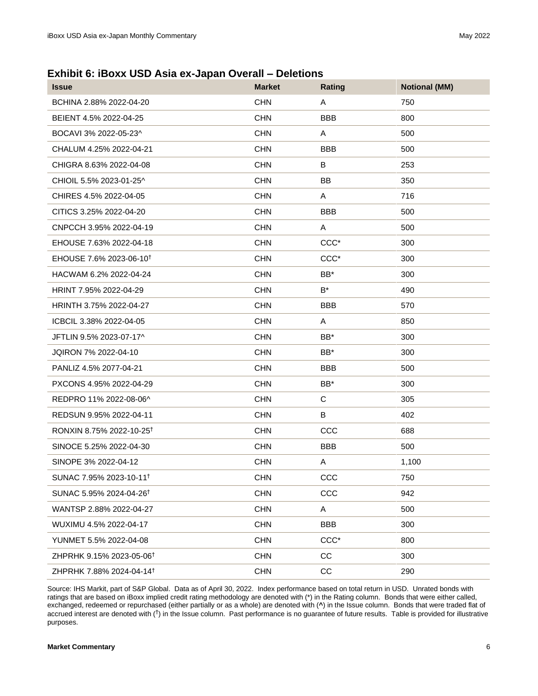**Exhibit 6: iBoxx USD Asia ex-Japan Overall – Deletions**

| <b>Issue</b>                         | <b>Market</b> | Rating           | <b>Notional (MM)</b> |
|--------------------------------------|---------------|------------------|----------------------|
| BCHINA 2.88% 2022-04-20              | <b>CHN</b>    | A                | 750                  |
| BEIENT 4.5% 2022-04-25               | <b>CHN</b>    | <b>BBB</b>       | 800                  |
| BOCAVI 3% 2022-05-23^                | <b>CHN</b>    | A                | 500                  |
| CHALUM 4.25% 2022-04-21              | <b>CHN</b>    | <b>BBB</b>       | 500                  |
| CHIGRA 8.63% 2022-04-08              | <b>CHN</b>    | B                | 253                  |
| CHIOIL 5.5% 2023-01-25^              | <b>CHN</b>    | <b>BB</b>        | 350                  |
| CHIRES 4.5% 2022-04-05               | <b>CHN</b>    | A                | 716                  |
| CITICS 3.25% 2022-04-20              | <b>CHN</b>    | <b>BBB</b>       | 500                  |
| CNPCCH 3.95% 2022-04-19              | <b>CHN</b>    | A                | 500                  |
| EHOUSE 7.63% 2022-04-18              | <b>CHN</b>    | CCC <sup>*</sup> | 300                  |
| EHOUSE 7.6% 2023-06-10 <sup>t</sup>  | <b>CHN</b>    | CCC <sup>*</sup> | 300                  |
| HACWAM 6.2% 2022-04-24               | <b>CHN</b>    | BB*              | 300                  |
| HRINT 7.95% 2022-04-29               | <b>CHN</b>    | $B^*$            | 490                  |
| HRINTH 3.75% 2022-04-27              | <b>CHN</b>    | <b>BBB</b>       | 570                  |
| ICBCIL 3.38% 2022-04-05              | <b>CHN</b>    | A                | 850                  |
| JFTLIN 9.5% 2023-07-17^              | <b>CHN</b>    | BB*              | 300                  |
| JQIRON 7% 2022-04-10                 | <b>CHN</b>    | BB*              | 300                  |
| PANLIZ 4.5% 2077-04-21               | <b>CHN</b>    | <b>BBB</b>       | 500                  |
| PXCONS 4.95% 2022-04-29              | <b>CHN</b>    | $BB*$            | 300                  |
| REDPRO 11% 2022-08-06^               | <b>CHN</b>    | $\mathbf C$      | 305                  |
| REDSUN 9.95% 2022-04-11              | <b>CHN</b>    | В                | 402                  |
| RONXIN 8.75% 2022-10-25 <sup>†</sup> | <b>CHN</b>    | CCC              | 688                  |
| SINOCE 5.25% 2022-04-30              | <b>CHN</b>    | <b>BBB</b>       | 500                  |
| SINOPE 3% 2022-04-12                 | <b>CHN</b>    | Α                | 1,100                |
| SUNAC 7.95% 2023-10-11 <sup>t</sup>  | <b>CHN</b>    | CCC              | 750                  |
| SUNAC 5.95% 2024-04-26 <sup>†</sup>  | <b>CHN</b>    | CCC              | 942                  |
| WANTSP 2.88% 2022-04-27              | <b>CHN</b>    | A                | 500                  |
| WUXIMU 4.5% 2022-04-17               | <b>CHN</b>    | <b>BBB</b>       | 300                  |
| YUNMET 5.5% 2022-04-08               | <b>CHN</b>    | CCC <sup>*</sup> | 800                  |
| ZHPRHK 9.15% 2023-05-06 <sup>†</sup> | <b>CHN</b>    | CC               | 300                  |
| ZHPRHK 7.88% 2024-04-14 <sup>†</sup> | <b>CHN</b>    | CC               | 290                  |

Source: IHS Markit, part of S&P Global. Data as of April 30, 2022. Index performance based on total return in USD. Unrated bonds with ratings that are based on iBoxx implied credit rating methodology are denoted with (\*) in the Rating column. Bonds that were either called, exchanged, redeemed or repurchased (either partially or as a whole) are denoted with (**^**) in the Issue column. Bonds that were traded flat of accrued interest are denoted with (<sup>†</sup>) in the Issue column. Past performance is no guarantee of future results. Table is provided for illustrative purposes.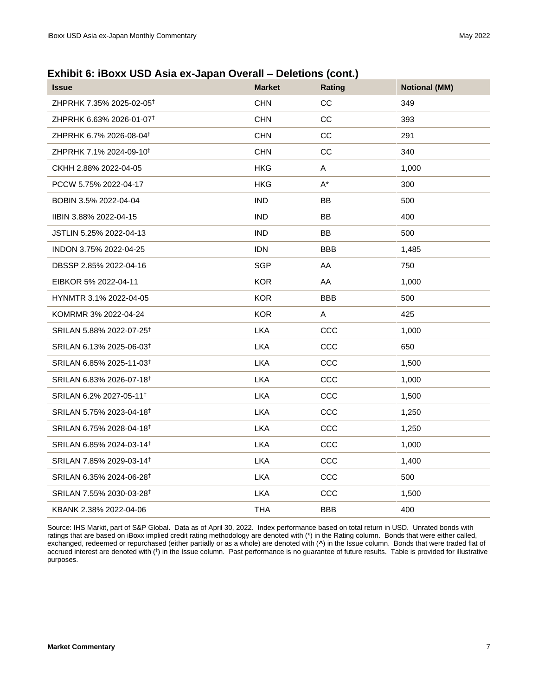### **Exhibit 6: iBoxx USD Asia ex-Japan Overall – Deletions (cont.)**

| <b>Issue</b>                         | <b>Market</b> | Rating     | <b>Notional (MM)</b> |
|--------------------------------------|---------------|------------|----------------------|
| ZHPRHK 7.35% 2025-02-05 <sup>†</sup> | <b>CHN</b>    | CC         | 349                  |
| ZHPRHK 6.63% 2026-01-07 <sup>†</sup> | <b>CHN</b>    | CC         | 393                  |
| ZHPRHK 6.7% 2026-08-04 <sup>+</sup>  | <b>CHN</b>    | CС         | 291                  |
| ZHPRHK 7.1% 2024-09-10 <sup>t</sup>  | <b>CHN</b>    | CC         | 340                  |
| CKHH 2.88% 2022-04-05                | <b>HKG</b>    | A          | 1,000                |
| PCCW 5.75% 2022-04-17                | <b>HKG</b>    | $A^*$      | 300                  |
| BOBIN 3.5% 2022-04-04                | <b>IND</b>    | <b>BB</b>  | 500                  |
| IIBIN 3.88% 2022-04-15               | <b>IND</b>    | <b>BB</b>  | 400                  |
| JSTLIN 5.25% 2022-04-13              | <b>IND</b>    | <b>BB</b>  | 500                  |
| INDON 3.75% 2022-04-25               | <b>IDN</b>    | <b>BBB</b> | 1,485                |
| DBSSP 2.85% 2022-04-16               | <b>SGP</b>    | AA         | 750                  |
| EIBKOR 5% 2022-04-11                 | <b>KOR</b>    | AA         | 1,000                |
| HYNMTR 3.1% 2022-04-05               | <b>KOR</b>    | <b>BBB</b> | 500                  |
| KOMRMR 3% 2022-04-24                 | <b>KOR</b>    | A          | 425                  |
| SRILAN 5.88% 2022-07-25 <sup>†</sup> | <b>LKA</b>    | CCC        | 1,000                |
| SRILAN 6.13% 2025-06-03 <sup>†</sup> | <b>LKA</b>    | CCC        | 650                  |
| SRILAN 6.85% 2025-11-03 <sup>†</sup> | <b>LKA</b>    | CCC        | 1,500                |
| SRILAN 6.83% 2026-07-18 <sup>t</sup> | <b>LKA</b>    | CCC        | 1,000                |
| SRILAN 6.2% 2027-05-11 <sup>+</sup>  | <b>LKA</b>    | CCC        | 1,500                |
| SRILAN 5.75% 2023-04-18 <sup>t</sup> | <b>LKA</b>    | CCC        | 1,250                |
| SRILAN 6.75% 2028-04-18 <sup>†</sup> | <b>LKA</b>    | CCC        | 1,250                |
| SRILAN 6.85% 2024-03-14 <sup>†</sup> | <b>LKA</b>    | CCC        | 1,000                |
| SRILAN 7.85% 2029-03-14 <sup>+</sup> | <b>LKA</b>    | CCC        | 1,400                |
| SRILAN 6.35% 2024-06-28 <sup>t</sup> | <b>LKA</b>    | CCC        | 500                  |
| SRILAN 7.55% 2030-03-28 <sup>†</sup> | <b>LKA</b>    | CCC        | 1,500                |
| KBANK 2.38% 2022-04-06               | <b>THA</b>    | <b>BBB</b> | 400                  |

Source: IHS Markit, part of S&P Global. Data as of April 30, 2022. Index performance based on total return in USD. Unrated bonds with ratings that are based on iBoxx implied credit rating methodology are denoted with (\*) in the Rating column. Bonds that were either called, exchanged, redeemed or repurchased (either partially or as a whole) are denoted with (**^**) in the Issue column. Bonds that were traded flat of accrued interest are denoted with (<sup>†</sup>) in the Issue column. Past performance is no guarantee of future results. Table is provided for illustrative purposes.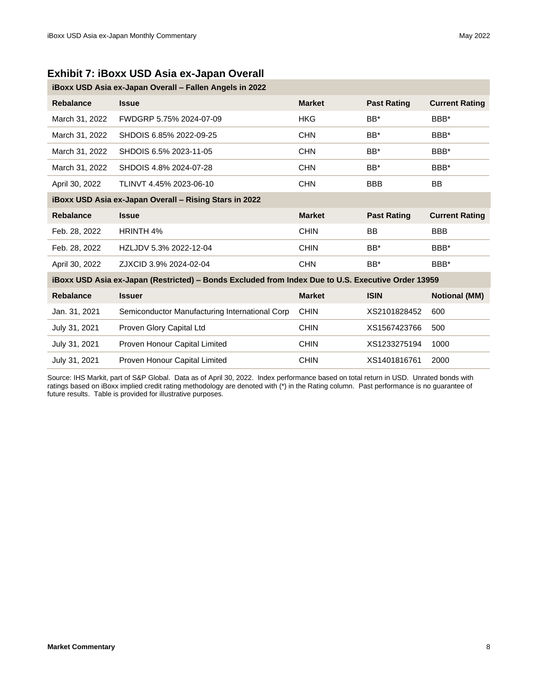#### **Exhibit 7: iBoxx USD Asia ex-Japan Overall**

| iBoxx USD Asia ex-Japan Overall - Fallen Angels in 2022                                            |                                                |               |                    |                       |  |  |
|----------------------------------------------------------------------------------------------------|------------------------------------------------|---------------|--------------------|-----------------------|--|--|
| <b>Rebalance</b>                                                                                   | <b>Issue</b>                                   | <b>Market</b> | <b>Past Rating</b> | <b>Current Rating</b> |  |  |
| March 31, 2022                                                                                     | FWDGRP 5.75% 2024-07-09                        | <b>HKG</b>    | BB*                | BBB*                  |  |  |
| March 31, 2022                                                                                     | SHDOIS 6.85% 2022-09-25                        | <b>CHN</b>    | $BB*$              | BBB*                  |  |  |
| March 31, 2022                                                                                     | SHDOIS 6.5% 2023-11-05                         | <b>CHN</b>    | $BB*$              | BBB*                  |  |  |
| March 31, 2022                                                                                     | SHDOIS 4.8% 2024-07-28                         | <b>CHN</b>    | $BB*$              | BBB*                  |  |  |
| April 30, 2022                                                                                     | TLINVT 4.45% 2023-06-10                        | <b>CHN</b>    | <b>BBB</b>         | <b>BB</b>             |  |  |
| iBoxx USD Asia ex-Japan Overall - Rising Stars in 2022                                             |                                                |               |                    |                       |  |  |
| <b>Rebalance</b>                                                                                   | <b>Issue</b>                                   | <b>Market</b> | <b>Past Rating</b> | <b>Current Rating</b> |  |  |
| Feb. 28, 2022                                                                                      | HRINTH 4%                                      | <b>CHIN</b>   | <b>BB</b>          | <b>BBB</b>            |  |  |
| Feb. 28, 2022                                                                                      | HZLJDV 5.3% 2022-12-04                         | <b>CHIN</b>   | BB*                | BBB*                  |  |  |
| April 30, 2022                                                                                     | ZJXCID 3.9% 2024-02-04                         | <b>CHN</b>    | BB*                | BBB*                  |  |  |
| iBoxx USD Asia ex-Japan (Restricted) - Bonds Excluded from Index Due to U.S. Executive Order 13959 |                                                |               |                    |                       |  |  |
| <b>Rebalance</b>                                                                                   | <b>Issuer</b>                                  | <b>Market</b> | <b>ISIN</b>        | <b>Notional (MM)</b>  |  |  |
| Jan. 31, 2021                                                                                      | Semiconductor Manufacturing International Corp | <b>CHIN</b>   | XS2101828452       | 600                   |  |  |
| July 31, 2021                                                                                      | Proven Glory Capital Ltd                       | <b>CHIN</b>   | XS1567423766       | 500                   |  |  |
| July 31, 2021                                                                                      | Proven Honour Capital Limited                  | <b>CHIN</b>   | XS1233275194       | 1000                  |  |  |
| July 31, 2021                                                                                      | Proven Honour Capital Limited                  | <b>CHIN</b>   | XS1401816761       | 2000                  |  |  |

Source: IHS Markit, part of S&P Global. Data as of April 30, 2022. Index performance based on total return in USD. Unrated bonds with ratings based on iBoxx implied credit rating methodology are denoted with (\*) in the Rating column. Past performance is no guarantee of future results. Table is provided for illustrative purposes.